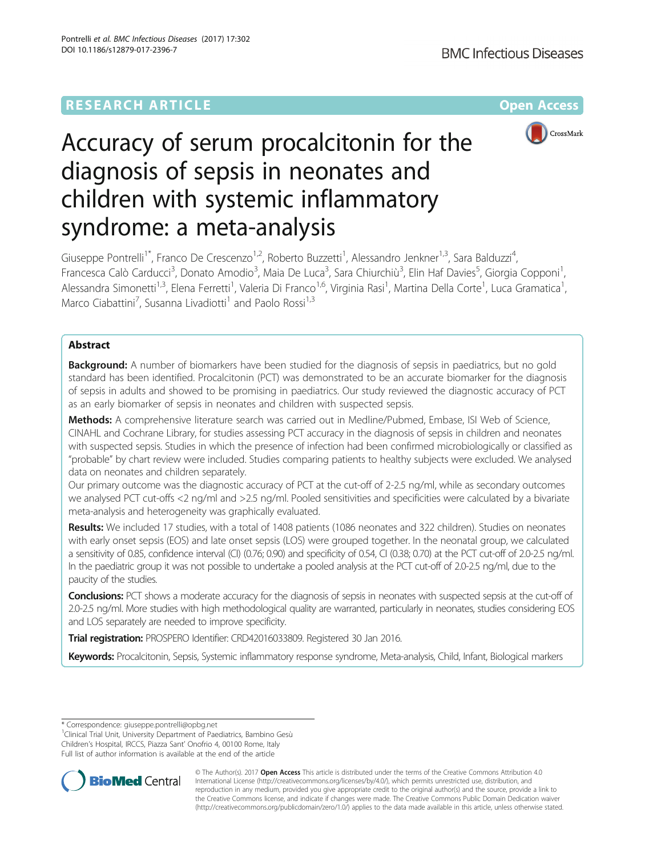# **RESEARCH ARTICLE Example 2014 12:30 The Contract of Contract Article 2014**



# Accuracy of serum procalcitonin for the diagnosis of sepsis in neonates and children with systemic inflammatory syndrome: a meta-analysis

Giuseppe Pontrelli<sup>1\*</sup>, Franco De Crescenzo<sup>1,2</sup>, Roberto Buzzetti<sup>1</sup>, Alessandro Jenkner<sup>1,3</sup>, Sara Balduzzi<sup>4</sup> , Francesca Calò Carducci<sup>3</sup>, Donato Amodio<sup>3</sup>, Maia De Luca<sup>3</sup>, Sara Chiurchiù<sup>3</sup>, Elin Haf Davies<sup>5</sup>, Giorgia Copponi<sup>1</sup> , Alessandra Simonetti<sup>1,3</sup>, Elena Ferretti<sup>1</sup>, Valeria Di Franco<sup>1,6</sup>, Virginia Rasi<sup>1</sup>, Martina Della Corte<sup>1</sup>, Luca Gramatica<sup>1</sup> , Marco Ciabattini<sup>7</sup>, Susanna Livadiotti<sup>1</sup> and Paolo Rossi<sup>1,3</sup>

# Abstract

Background: A number of biomarkers have been studied for the diagnosis of sepsis in paediatrics, but no gold standard has been identified. Procalcitonin (PCT) was demonstrated to be an accurate biomarker for the diagnosis of sepsis in adults and showed to be promising in paediatrics. Our study reviewed the diagnostic accuracy of PCT as an early biomarker of sepsis in neonates and children with suspected sepsis.

Methods: A comprehensive literature search was carried out in Medline/Pubmed, Embase, ISI Web of Science, CINAHL and Cochrane Library, for studies assessing PCT accuracy in the diagnosis of sepsis in children and neonates with suspected sepsis. Studies in which the presence of infection had been confirmed microbiologically or classified as "probable" by chart review were included. Studies comparing patients to healthy subjects were excluded. We analysed data on neonates and children separately.

Our primary outcome was the diagnostic accuracy of PCT at the cut-off of 2-2.5 ng/ml, while as secondary outcomes we analysed PCT cut-offs <2 ng/ml and >2.5 ng/ml. Pooled sensitivities and specificities were calculated by a bivariate meta-analysis and heterogeneity was graphically evaluated.

Results: We included 17 studies, with a total of 1408 patients (1086 neonates and 322 children). Studies on neonates with early onset sepsis (EOS) and late onset sepsis (LOS) were grouped together. In the neonatal group, we calculated a sensitivity of 0.85, confidence interval (CI) (0.76; 0.90) and specificity of 0.54, CI (0.38; 0.70) at the PCT cut-off of 2.0-2.5 ng/ml. In the paediatric group it was not possible to undertake a pooled analysis at the PCT cut-off of 2.0-2.5 ng/ml, due to the paucity of the studies.

Conclusions: PCT shows a moderate accuracy for the diagnosis of sepsis in neonates with suspected sepsis at the cut-off of 2.0-2.5 ng/ml. More studies with high methodological quality are warranted, particularly in neonates, studies considering EOS and LOS separately are needed to improve specificity.

Trial registration: PROSPERO Identifier: [CRD42016033809](http://www.crd.york.ac.uk/PROSPERO/display_record.asp?ID=CRD42016033809). Registered 30 Jan 2016.

Keywords: Procalcitonin, Sepsis, Systemic inflammatory response syndrome, Meta-analysis, Child, Infant, Biological markers

<sup>1</sup> Clinical Trial Unit, University Department of Paediatrics, Bambino Gesù Children's Hospital, IRCCS, Piazza Sant' Onofrio 4, 00100 Rome, Italy Full list of author information is available at the end of the article



© The Author(s). 2017 **Open Access** This article is distributed under the terms of the Creative Commons Attribution 4.0 International License [\(http://creativecommons.org/licenses/by/4.0/](http://creativecommons.org/licenses/by/4.0/)), which permits unrestricted use, distribution, and reproduction in any medium, provided you give appropriate credit to the original author(s) and the source, provide a link to the Creative Commons license, and indicate if changes were made. The Creative Commons Public Domain Dedication waiver [\(http://creativecommons.org/publicdomain/zero/1.0/](http://creativecommons.org/publicdomain/zero/1.0/)) applies to the data made available in this article, unless otherwise stated.

<sup>\*</sup> Correspondence: [giuseppe.pontrelli@opbg.net](mailto:giuseppe.pontrelli@opbg.net) <sup>1</sup>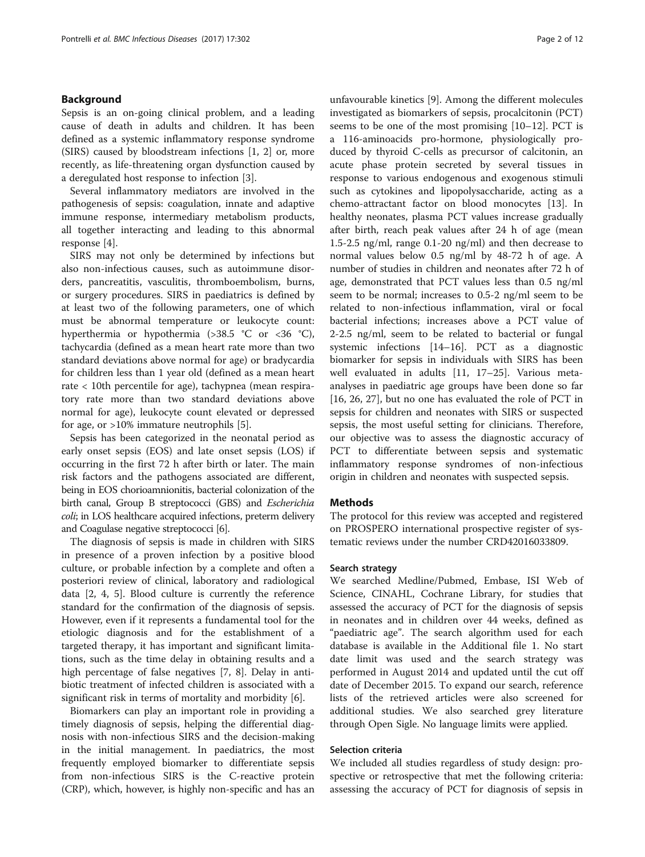#### Background

Sepsis is an on-going clinical problem, and a leading cause of death in adults and children. It has been defined as a systemic inflammatory response syndrome (SIRS) caused by bloodstream infections [\[1](#page-9-0), [2](#page-9-0)] or, more recently, as life-threatening organ dysfunction caused by a deregulated host response to infection [[3\]](#page-9-0).

Several inflammatory mediators are involved in the pathogenesis of sepsis: coagulation, innate and adaptive immune response, intermediary metabolism products, all together interacting and leading to this abnormal response [[4\]](#page-10-0).

SIRS may not only be determined by infections but also non-infectious causes, such as autoimmune disorders, pancreatitis, vasculitis, thromboembolism, burns, or surgery procedures. SIRS in paediatrics is defined by at least two of the following parameters, one of which must be abnormal temperature or leukocyte count: hyperthermia or hypothermia (>38.5 °C or <36 °C), tachycardia (defined as a mean heart rate more than two standard deviations above normal for age) or bradycardia for children less than 1 year old (defined as a mean heart rate < 10th percentile for age), tachypnea (mean respiratory rate more than two standard deviations above normal for age), leukocyte count elevated or depressed for age, or >10% immature neutrophils [\[5\]](#page-10-0).

Sepsis has been categorized in the neonatal period as early onset sepsis (EOS) and late onset sepsis (LOS) if occurring in the first 72 h after birth or later. The main risk factors and the pathogens associated are different, being in EOS chorioamnionitis, bacterial colonization of the birth canal, Group B streptococci (GBS) and Escherichia coli; in LOS healthcare acquired infections, preterm delivery and Coagulase negative streptococci [[6](#page-10-0)].

The diagnosis of sepsis is made in children with SIRS in presence of a proven infection by a positive blood culture, or probable infection by a complete and often a posteriori review of clinical, laboratory and radiological data [[2,](#page-9-0) [4](#page-10-0), [5](#page-10-0)]. Blood culture is currently the reference standard for the confirmation of the diagnosis of sepsis. However, even if it represents a fundamental tool for the etiologic diagnosis and for the establishment of a targeted therapy, it has important and significant limitations, such as the time delay in obtaining results and a high percentage of false negatives [\[7](#page-10-0), [8\]](#page-10-0). Delay in antibiotic treatment of infected children is associated with a significant risk in terms of mortality and morbidity [[6](#page-10-0)].

Biomarkers can play an important role in providing a timely diagnosis of sepsis, helping the differential diagnosis with non-infectious SIRS and the decision-making in the initial management. In paediatrics, the most frequently employed biomarker to differentiate sepsis from non-infectious SIRS is the C-reactive protein (CRP), which, however, is highly non-specific and has an

unfavourable kinetics [[9\]](#page-10-0). Among the different molecules investigated as biomarkers of sepsis, procalcitonin (PCT) seems to be one of the most promising [\[10](#page-10-0)–[12\]](#page-10-0). PCT is a 116-aminoacids pro-hormone, physiologically produced by thyroid C-cells as precursor of calcitonin, an acute phase protein secreted by several tissues in response to various endogenous and exogenous stimuli such as cytokines and lipopolysaccharide, acting as a chemo-attractant factor on blood monocytes [[13\]](#page-10-0). In healthy neonates, plasma PCT values increase gradually after birth, reach peak values after 24 h of age (mean 1.5-2.5 ng/ml, range 0.1-20 ng/ml) and then decrease to normal values below 0.5 ng/ml by 48-72 h of age. A number of studies in children and neonates after 72 h of age, demonstrated that PCT values less than 0.5 ng/ml seem to be normal; increases to 0.5-2 ng/ml seem to be related to non-infectious inflammation, viral or focal bacterial infections; increases above a PCT value of 2-2.5 ng/ml, seem to be related to bacterial or fungal systemic infections [\[14](#page-10-0)–[16\]](#page-10-0). PCT as a diagnostic biomarker for sepsis in individuals with SIRS has been well evaluated in adults [\[11](#page-10-0), [17](#page-10-0)–[25](#page-10-0)]. Various metaanalyses in paediatric age groups have been done so far [[16, 26, 27\]](#page-10-0), but no one has evaluated the role of PCT in sepsis for children and neonates with SIRS or suspected sepsis, the most useful setting for clinicians. Therefore, our objective was to assess the diagnostic accuracy of PCT to differentiate between sepsis and systematic inflammatory response syndromes of non-infectious origin in children and neonates with suspected sepsis.

#### Methods

The protocol for this review was accepted and registered on PROSPERO international prospective register of systematic reviews under the number CRD42016033809.

#### Search strategy

We searched Medline/Pubmed, Embase, ISI Web of Science, CINAHL, Cochrane Library, for studies that assessed the accuracy of PCT for the diagnosis of sepsis in neonates and in children over 44 weeks, defined as "paediatric age". The search algorithm used for each database is available in the Additional file [1.](#page-9-0) No start date limit was used and the search strategy was performed in August 2014 and updated until the cut off date of December 2015. To expand our search, reference lists of the retrieved articles were also screened for additional studies. We also searched grey literature through Open Sigle. No language limits were applied.

#### Selection criteria

We included all studies regardless of study design: prospective or retrospective that met the following criteria: assessing the accuracy of PCT for diagnosis of sepsis in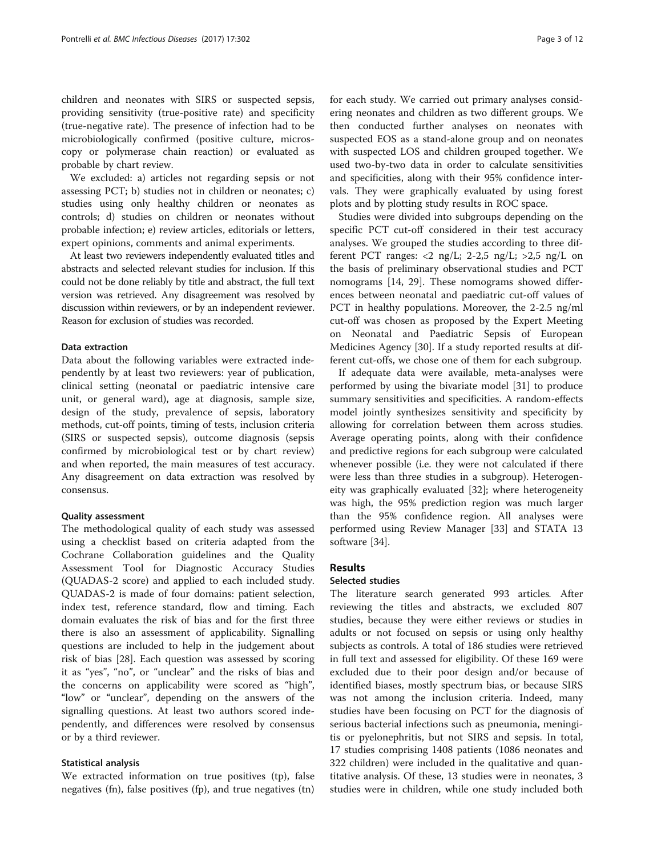children and neonates with SIRS or suspected sepsis, providing sensitivity (true-positive rate) and specificity (true-negative rate). The presence of infection had to be microbiologically confirmed (positive culture, microscopy or polymerase chain reaction) or evaluated as probable by chart review.

We excluded: a) articles not regarding sepsis or not assessing PCT; b) studies not in children or neonates; c) studies using only healthy children or neonates as controls; d) studies on children or neonates without probable infection; e) review articles, editorials or letters, expert opinions, comments and animal experiments.

At least two reviewers independently evaluated titles and abstracts and selected relevant studies for inclusion. If this could not be done reliably by title and abstract, the full text version was retrieved. Any disagreement was resolved by discussion within reviewers, or by an independent reviewer. Reason for exclusion of studies was recorded.

#### Data extraction

Data about the following variables were extracted independently by at least two reviewers: year of publication, clinical setting (neonatal or paediatric intensive care unit, or general ward), age at diagnosis, sample size, design of the study, prevalence of sepsis, laboratory methods, cut-off points, timing of tests, inclusion criteria (SIRS or suspected sepsis), outcome diagnosis (sepsis confirmed by microbiological test or by chart review) and when reported, the main measures of test accuracy. Any disagreement on data extraction was resolved by consensus.

#### Quality assessment

The methodological quality of each study was assessed using a checklist based on criteria adapted from the Cochrane Collaboration guidelines and the Quality Assessment Tool for Diagnostic Accuracy Studies (QUADAS-2 score) and applied to each included study. QUADAS-2 is made of four domains: patient selection, index test, reference standard, flow and timing. Each domain evaluates the risk of bias and for the first three there is also an assessment of applicability. Signalling questions are included to help in the judgement about risk of bias [\[28](#page-10-0)]. Each question was assessed by scoring it as "yes", "no", or "unclear" and the risks of bias and the concerns on applicability were scored as "high", "low" or "unclear", depending on the answers of the signalling questions. At least two authors scored independently, and differences were resolved by consensus or by a third reviewer.

#### Statistical analysis

We extracted information on true positives (tp), false negatives (fn), false positives (fp), and true negatives (tn) for each study. We carried out primary analyses considering neonates and children as two different groups. We then conducted further analyses on neonates with suspected EOS as a stand-alone group and on neonates with suspected LOS and children grouped together. We used two-by-two data in order to calculate sensitivities and specificities, along with their 95% confidence intervals. They were graphically evaluated by using forest plots and by plotting study results in ROC space.

Studies were divided into subgroups depending on the specific PCT cut-off considered in their test accuracy analyses. We grouped the studies according to three different PCT ranges:  $\langle 2 \text{ ng/L}; 2-2,5 \text{ ng/L}; \rangle$  >2,5 ng/L on the basis of preliminary observational studies and PCT nomograms [[14, 29](#page-10-0)]. These nomograms showed differences between neonatal and paediatric cut-off values of PCT in healthy populations. Moreover, the 2-2.5 ng/ml cut-off was chosen as proposed by the Expert Meeting on Neonatal and Paediatric Sepsis of European Medicines Agency [\[30\]](#page-10-0). If a study reported results at different cut-offs, we chose one of them for each subgroup.

If adequate data were available, meta-analyses were performed by using the bivariate model [[31\]](#page-10-0) to produce summary sensitivities and specificities. A random-effects model jointly synthesizes sensitivity and specificity by allowing for correlation between them across studies. Average operating points, along with their confidence and predictive regions for each subgroup were calculated whenever possible (i.e. they were not calculated if there were less than three studies in a subgroup). Heterogeneity was graphically evaluated [[32\]](#page-10-0); where heterogeneity was high, the 95% prediction region was much larger than the 95% confidence region. All analyses were performed using Review Manager [\[33](#page-10-0)] and STATA 13 software [\[34\]](#page-10-0).

#### Results

# Selected studies

The literature search generated 993 articles. After reviewing the titles and abstracts, we excluded 807 studies, because they were either reviews or studies in adults or not focused on sepsis or using only healthy subjects as controls. A total of 186 studies were retrieved in full text and assessed for eligibility. Of these 169 were excluded due to their poor design and/or because of identified biases, mostly spectrum bias, or because SIRS was not among the inclusion criteria. Indeed, many studies have been focusing on PCT for the diagnosis of serious bacterial infections such as pneumonia, meningitis or pyelonephritis, but not SIRS and sepsis. In total, 17 studies comprising 1408 patients (1086 neonates and 322 children) were included in the qualitative and quantitative analysis. Of these, 13 studies were in neonates, 3 studies were in children, while one study included both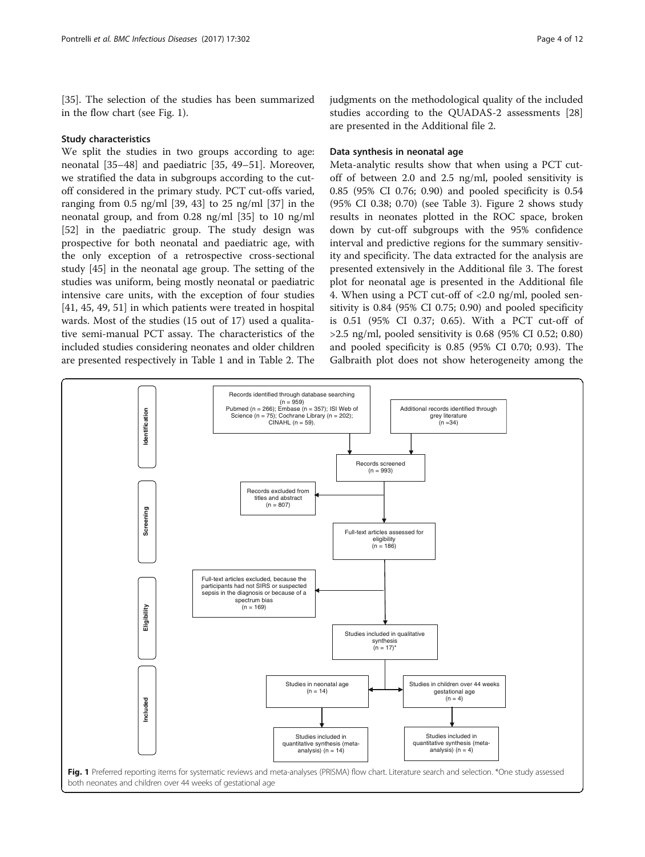[[35\]](#page-10-0). The selection of the studies has been summarized in the flow chart (see Fig. 1).

#### Study characteristics

We split the studies in two groups according to age: neonatal [[35](#page-10-0)–[48](#page-10-0)] and paediatric [\[35,](#page-10-0) [49](#page-11-0)–[51\]](#page-11-0). Moreover, we stratified the data in subgroups according to the cutoff considered in the primary study. PCT cut-offs varied, ranging from 0.5 ng/ml [\[39](#page-10-0), [43\]](#page-10-0) to 25 ng/ml [[37](#page-10-0)] in the neonatal group, and from 0.28 ng/ml [\[35](#page-10-0)] to 10 ng/ml [[52\]](#page-11-0) in the paediatric group. The study design was prospective for both neonatal and paediatric age, with the only exception of a retrospective cross-sectional study [\[45](#page-10-0)] in the neonatal age group. The setting of the studies was uniform, being mostly neonatal or paediatric intensive care units, with the exception of four studies [[41, 45,](#page-10-0) [49](#page-11-0), [51](#page-11-0)] in which patients were treated in hospital wards. Most of the studies (15 out of 17) used a qualitative semi-manual PCT assay. The characteristics of the included studies considering neonates and older children are presented respectively in Table [1](#page-4-0) and in Table [2](#page-5-0). The judgments on the methodological quality of the included studies according to the QUADAS-2 assessments [[28](#page-10-0)] are presented in the Additional file [2.](#page-9-0)

#### Data synthesis in neonatal age

Meta-analytic results show that when using a PCT cutoff of between 2.0 and 2.5 ng/ml, pooled sensitivity is 0.85 (95% CI 0.76; 0.90) and pooled specificity is 0.54 (95% CI 0.38; 0.70) (see Table [3\)](#page-6-0). Figure [2](#page-6-0) shows study results in neonates plotted in the ROC space, broken down by cut-off subgroups with the 95% confidence interval and predictive regions for the summary sensitivity and specificity. The data extracted for the analysis are presented extensively in the Additional file [3](#page-9-0). The forest plot for neonatal age is presented in the Additional file [4.](#page-9-0) When using a PCT cut-off of <2.0 ng/ml, pooled sensitivity is 0.84 (95% CI 0.75; 0.90) and pooled specificity is 0.51 (95% CI 0.37; 0.65). With a PCT cut-off of >2.5 ng/ml, pooled sensitivity is 0.68 (95% CI 0.52; 0.80) and pooled specificity is 0.85 (95% CI 0.70; 0.93). The Galbraith plot does not show heterogeneity among the

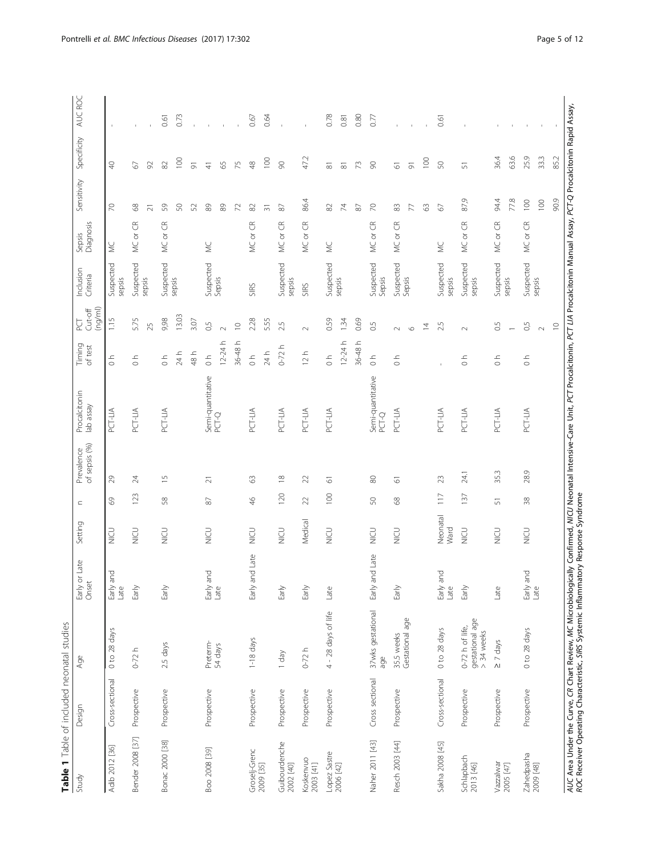<span id="page-4-0"></span>

| Study                      | Design          | Age                                              | Late<br>Early or<br>Onset | Setting          | $\subseteq$   | of sepsis (%)<br>Prevalence | Procalcitonin<br>lab assay | Timing<br>of test                       | (mg/ml)<br>$Cut$ -off<br><b>P</b> | Inclusion<br>Criteria | Diagnosis<br>Sepsis | Sensitivity     | Specificity         | AUC ROC |
|----------------------------|-----------------|--------------------------------------------------|---------------------------|------------------|---------------|-----------------------------|----------------------------|-----------------------------------------|-----------------------------------|-----------------------|---------------------|-----------------|---------------------|---------|
| Adib 2012 [36]             | Cross-sectional | 0 to 28 days                                     | Early and<br>Late         | <b>NICI</b>      | $\odot$       | 29                          | PCT-LIA                    | $\overline{0}$                          | 1.15                              | Suspected<br>sepsis   | $\gtrapprox$        | 20              | $\varphi$           |         |
| Bender 2008 [37]           | Prospective     | $0-72h$                                          | Early                     | <b>NICI</b>      | 123           | 24                          | PCT-LIA                    | $\overline{0}$                          | 5.75                              | Suspected<br>sepsis   | MC or CR            | 88              | 67                  |         |
|                            |                 |                                                  |                           |                  |               |                             |                            |                                         | 25                                |                       |                     | $\overline{21}$ | 92                  |         |
| Bonac 2000 [38]            | Prospective     | 2.5 days                                         | Early                     | <b>NICI</b>      | 38            | $\overline{1}$              | PCT-LIA                    | $\frac{1}{2}$                           | 9,98                              | Suspected<br>sepsis   | MC or CR            | 59              | $\approx$           | 0.61    |
|                            |                 |                                                  |                           |                  |               |                             |                            | 24 h                                    | 13.03                             |                       |                     | 50              | 100                 | 0.73    |
|                            |                 |                                                  |                           |                  |               |                             |                            | 48 h                                    | 3.07                              |                       |                     | 52              | $\overline{5}$      |         |
| Boo 2008 [39]              | Prospective     | Preterm-                                         | Early and<br>Late         | <b>NICT</b>      | 87            | $\overline{21}$             | Semi-quantitative          | $\frac{1}{2}$                           | 05                                | Suspected             | š                   | $\rm ^{\rm 6}$  | $\frac{4}{7}$       |         |
|                            |                 | 54 days                                          |                           |                  |               |                             | PCT-Q                      | ᅩ<br>$12 - 24$                          | $\sim$                            | Sepsis                |                     | $\rm ^{\rm 8}$  | 59                  |         |
|                            |                 |                                                  |                           |                  |               |                             |                            | ᇰ<br>$36 - 48$                          | $\supseteq$                       |                       |                     | $\mathcal{L}$   | 75                  |         |
| Groselj-Grenc<br>2009 [35] | Prospective     | $1-18$ days                                      | Early and Late            | <b>DOIN</b>      | $\frac{1}{2}$ | $\mathbb{S}^3$              | PCT-LIA                    | $\frac{1}{2}$                           | 2.28                              | SIRS                  | MC or CR            | $\approx$       | $48$                | 0.67    |
|                            |                 |                                                  |                           |                  |               |                             |                            | 24 h                                    | 5.55                              |                       |                     | $\overline{3}$  | 100                 | 0.64    |
| Guibourdenche<br>2002 [40] | Prospective     | 1 day                                            | Early                     | $\sum_{i=1}^{n}$ | 120           | $\approx$                   | PCT-LIA                    | $0-72h$                                 | 25                                | Suspected<br>sepsis   | MC or CR            | $\approx$       | $\otimes$           |         |
| Koskenvuo<br>2003 [41]     | Prospective     | $0-72h$                                          | Early                     | Medical          | 22            | 22                          | PCT-LIA                    | 12 h                                    | $\sim$                            | SIRS                  | MC or CR            | 864             | 47.2                |         |
| Lopez Sastre               | Prospective     | 4 - 28 days of life                              | Late                      | <b>NICI</b>      | 100           | 5                           | PCT-LIA                    | $\frac{1}{2}$                           | 0.59                              | Suspected             | $\gtrapprox$        | 82              | $\overline{\infty}$ | 0.78    |
| 2006 [42]                  |                 |                                                  |                           |                  |               |                             |                            | $12 - 24 h$                             | 1.34                              | sepsis                |                     | 74              | $\overline{\infty}$ | 0.81    |
|                            |                 |                                                  |                           |                  |               |                             |                            | ᅩ<br>36-48                              | 0.69                              |                       |                     | 87              | 73                  | 0.80    |
| Naher 2011 [43]            | Cross sectional | 37wks gestational<br>age                         | Early and Late            | <b>NICU</b>      | S             | $\rm 80$                    | Semi-quantitative<br>PCT-Q | $\begin{array}{c}\n0 \\ 0\n\end{array}$ | 30                                | Suspected<br>Sepsis   | MC or CR            | $\overline{70}$ | 90                  | 0.77    |
| Resch 2003 [44]            | Prospective     | 35.5 weeks                                       | Early                     | NICU             | $\otimes$     | $\overline{\circ}$          | PCT-LIA                    | $\frac{1}{\sqrt{2}}$                    | $\sim$                            | Suspected             | MC or CR            | $\approx$       | 67                  |         |
|                            |                 | Gestational age                                  |                           |                  |               |                             |                            |                                         | $\circ$                           | Sepsis                |                     | $\overline{7}$  | $\overline{\circ}$  |         |
|                            |                 |                                                  |                           |                  |               |                             |                            |                                         | $\overline{4}$                    |                       |                     | $\Im$           | 100                 |         |
| Sakha 2008 [45]            | Cross-sectional | 0 to 28 days                                     | Early and<br>Late         | Neonatal<br>Ward | $117$         | 23                          | PCT-LIA                    |                                         | 25                                | Suspected<br>sepsis   | Š                   | $\mathcal{O}$   | 50                  | 0.61    |
| Schlapbach<br>2013 [46]    | Prospective     | gestational age<br>0-72 h of life,<br>> 34 weeks | Early                     | <b>NICI</b>      | 137           | 24.1                        | PCT-LIA                    | $\overline{0}$                          | $\sim$                            | Suspected<br>sepsis   | MC or CR            | 87,9            | 51                  |         |
| Vazzalwar<br>2005 [47]     | Prospective     | $\geq$ 7 days                                    | Late                      | DOIN             | 5             | 35.3                        | PCT-LIA                    | $\frac{1}{0}$                           | 0.5                               | Suspected<br>sepsis   | MC or CR            | 77.8<br>94.4    | 63.6<br>36.4        |         |
| Zahedpasha<br>2009 [48]    | Prospective     | 0 to 28 days                                     | Early and<br>Late         | <b>UDIX</b>      | $38$          | 28.9                        | PCT-LIA                    | $\frac{1}{\sqrt{2}}$                    | $\sqrt{5}$                        | Suspected<br>sepsis   | MC or CR            | 100             | 25.9                |         |
|                            |                 |                                                  |                           |                  |               |                             |                            |                                         | $\sim$                            |                       |                     | 100             | 33.3                |         |
|                            |                 |                                                  |                           |                  |               |                             |                            |                                         | $\supseteq$                       |                       |                     | 90.9            | 85.2                |         |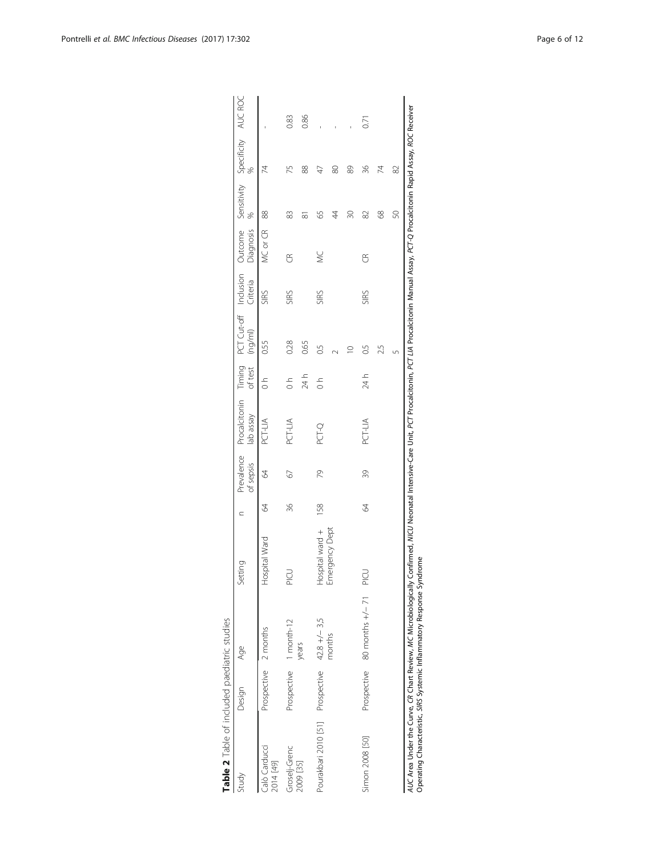<span id="page-5-0"></span>

| Study                                         | Design               | Age                                                                                                                                                                                                                                                                                          | Setting         |    | Prevalence<br>of sepsis | Procalcitonin Timing PCT Cut-off Inclusion Outcome<br>Vesse qel | of test              | (nq/ml) | Criteria | Diagnosis | ℅  | Sensitivity Specificity AUC ROC<br>S, |      |
|-----------------------------------------------|----------------------|----------------------------------------------------------------------------------------------------------------------------------------------------------------------------------------------------------------------------------------------------------------------------------------------|-----------------|----|-------------------------|-----------------------------------------------------------------|----------------------|---------|----------|-----------|----|---------------------------------------|------|
| Calò Carducci<br>2014 [49]                    | Prospective 2 months |                                                                                                                                                                                                                                                                                              | Hospital Ward   | 8  | 64                      | PCT-LIA                                                         | $\overline{0}$       | 0.55    | SIRS     | MC or CR  | 88 | 4                                     |      |
| Groselj-Grenc                                 |                      | Prospective 1 month-12                                                                                                                                                                                                                                                                       | ᅙ               | 36 | 67                      | PCT-LIA                                                         | $\frac{1}{2}$        | 0.28    | SIRS     | E         | 83 | Ю                                     | 0.83 |
| 2009 [35]                                     |                      | years                                                                                                                                                                                                                                                                                        |                 |    |                         |                                                                 | 24 h                 | 0.65    |          |           | ်ထ | 88                                    | 0.86 |
| Pourakbari 2010 [51] Prospective 42.8 +/- 3,5 |                      |                                                                                                                                                                                                                                                                                              | Hospital ward + | 58 | 20                      | PCT-Q                                                           | $\frac{1}{\sqrt{2}}$ | 50      | SIRS     | ⋚         | 5  |                                       |      |
|                                               |                      | months                                                                                                                                                                                                                                                                                       | Emergency Dept  |    |                         |                                                                 |                      |         |          |           |    | 80                                    |      |
|                                               |                      |                                                                                                                                                                                                                                                                                              |                 |    |                         |                                                                 |                      |         |          |           | 20 | 89                                    |      |
| Simon 2008 [50]                               |                      | Prospective 80 months +/-71                                                                                                                                                                                                                                                                  | PICU            | 8  | 39                      | PCT-LIA                                                         | 24 h                 | 50      | SIRS     | E         | 8  | 36                                    | 55   |
|                                               |                      |                                                                                                                                                                                                                                                                                              |                 |    |                         |                                                                 |                      | 25      |          |           | 89 | 74                                    |      |
|                                               |                      |                                                                                                                                                                                                                                                                                              |                 |    |                         |                                                                 |                      |         |          |           | 50 | 82                                    |      |
|                                               |                      | AUC Area Under the Curve, CR Chart Review, MC Microbiologically Confirmed, N(CU Neonatal Intensive-Care Unit, PCT Procalcitonin, PCT LIA Procalcitonin Manual Assay, PCT-Q Procalcitonin Rapid Assay, ROC Receiver<br>Operating Characteristic, S/RS Systemic Inflammatory Response Syndrome |                 |    |                         |                                                                 |                      |         |          |           |    |                                       |      |

**Table 2** Table of included paediatric studies

Table 2 Table of included paediatric studies

| j             |                               |
|---------------|-------------------------------|
|               |                               |
|               |                               |
| $\frac{1}{2}$ |                               |
| )<br> <br>    |                               |
|               |                               |
|               |                               |
|               |                               |
|               |                               |
| į             |                               |
|               |                               |
| $\frac{1}{2}$ |                               |
|               |                               |
|               |                               |
| j             |                               |
| j             |                               |
|               |                               |
| j<br>pica     | inca                          |
|               | j<br>Ś<br>ì<br>$\overline{a}$ |
|               |                               |
|               |                               |
|               |                               |
|               |                               |
|               |                               |
|               |                               |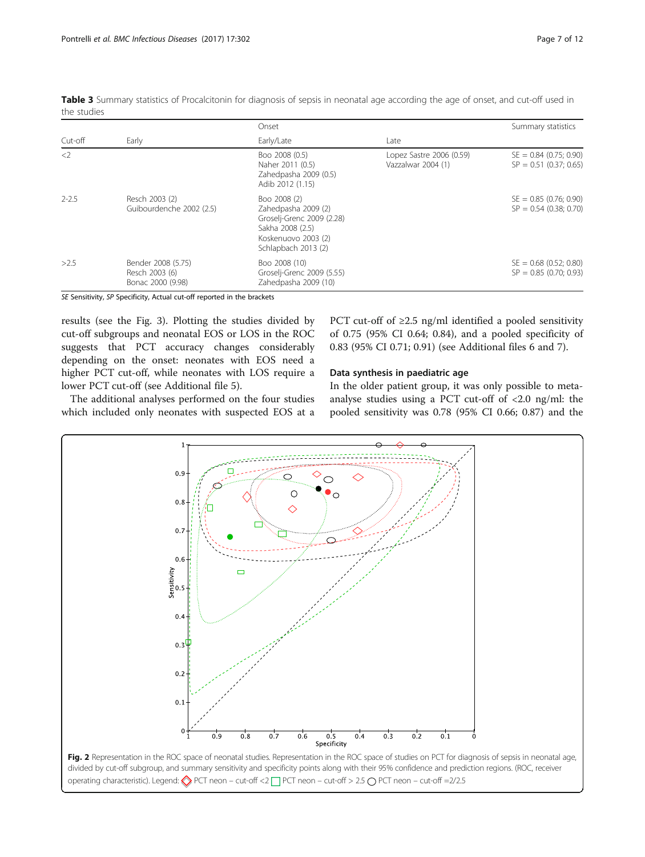<span id="page-6-0"></span>

|             | Table 3 Summary statistics of Procalcitonin for diagnosis of sepsis in neonatal age according the age of onset, and cut-off used in |
|-------------|-------------------------------------------------------------------------------------------------------------------------------------|
| the studies |                                                                                                                                     |

|             |                                                           | Onset                                                                                                                              |                                                | Summary statistics                                   |
|-------------|-----------------------------------------------------------|------------------------------------------------------------------------------------------------------------------------------------|------------------------------------------------|------------------------------------------------------|
| Cut-off     | Early                                                     | Early/Late                                                                                                                         | Late                                           |                                                      |
| $\langle$ 2 |                                                           | Boo 2008 (0.5)<br>Naher 2011 (0.5)<br>Zahedpasha 2009 (0.5)<br>Adib 2012 (1.15)                                                    | Lopez Sastre 2006 (0.59)<br>Vazzalwar 2004 (1) | $SE = 0.84$ (0.75; 0.90)<br>$SP = 0.51$ (0.37; 0.65) |
| $2 - 2.5$   | Resch 2003 (2)<br>Guibourdenche 2002 (2.5)                | Boo 2008 (2)<br>Zahedpasha 2009 (2)<br>Groselj-Grenc 2009 (2.28)<br>Sakha 2008 (2.5)<br>Koskenuovo 2003 (2)<br>Schlapbach 2013 (2) |                                                | $SE = 0.85$ (0.76; 0.90)<br>$SP = 0.54$ (0.38; 0.70) |
| >2.5        | Bender 2008 (5.75)<br>Resch 2003 (6)<br>Bonac 2000 (9.98) | Boo 2008 (10)<br>Groselj-Grenc 2009 (5.55)<br>Zahedpasha 2009 (10)                                                                 |                                                | $SE = 0.68$ (0.52; 0.80)<br>$SP = 0.85$ (0.70: 0.93) |

SE Sensitivity, SP Specificity, Actual cut-off reported in the brackets

results (see the Fig. [3\)](#page-7-0). Plotting the studies divided by cut-off subgroups and neonatal EOS or LOS in the ROC suggests that PCT accuracy changes considerably depending on the onset: neonates with EOS need a higher PCT cut-off, while neonates with LOS require a lower PCT cut-off (see Additional file [5](#page-9-0)).

The additional analyses performed on the four studies which included only neonates with suspected EOS at a PCT cut-off of ≥2.5 ng/ml identified a pooled sensitivity of 0.75 (95% CI 0.64; 0.84), and a pooled specificity of 0.83 (95% CI 0.71; 0.91) (see Additional files [6](#page-9-0) and [7\)](#page-9-0).

## Data synthesis in paediatric age

In the older patient group, it was only possible to metaanalyse studies using a PCT cut-off of <2.0 ng/ml: the pooled sensitivity was 0.78 (95% CI 0.66; 0.87) and the

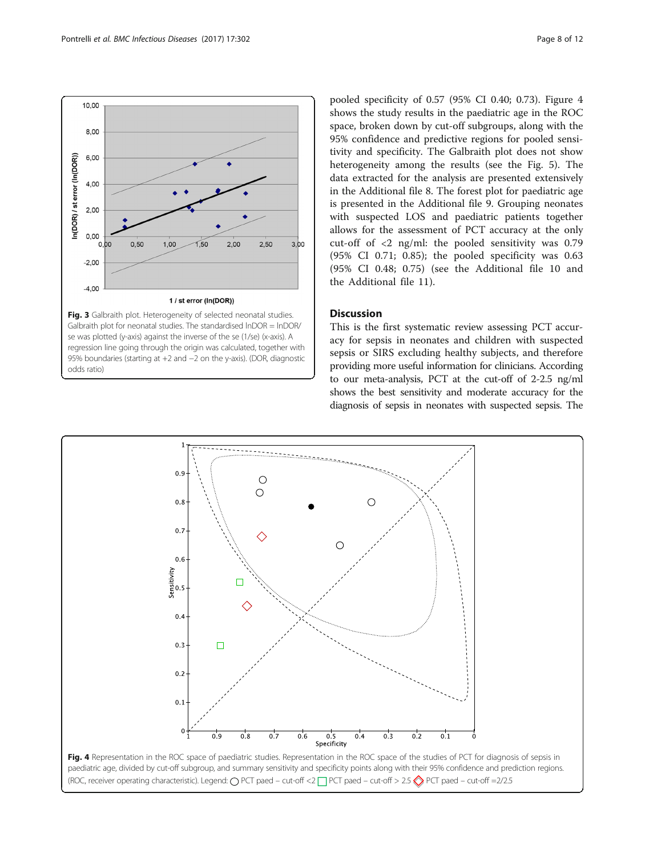<span id="page-7-0"></span>

Galbraith plot for neonatal studies. The standardised lnDOR = lnDOR/ se was plotted (y-axis) against the inverse of the se (1/se) (x-axis). A regression line going through the origin was calculated, together with 95% boundaries (starting at +2 and −2 on the y-axis). (DOR, diagnostic odds ratio)

pooled specificity of 0.57 (95% CI 0.40; 0.73). Figure 4 shows the study results in the paediatric age in the ROC space, broken down by cut-off subgroups, along with the 95% confidence and predictive regions for pooled sensitivity and specificity. The Galbraith plot does not show heterogeneity among the results (see the Fig. [5\)](#page-8-0). The data extracted for the analysis are presented extensively in the Additional file [8](#page-9-0). The forest plot for paediatric age is presented in the Additional file [9.](#page-9-0) Grouping neonates with suspected LOS and paediatric patients together allows for the assessment of PCT accuracy at the only cut-off of <2 ng/ml: the pooled sensitivity was 0.79 (95% CI 0.71; 0.85); the pooled specificity was 0.63 (95% CI 0.48; 0.75) (see the Additional file [10](#page-9-0) and the Additional file [11](#page-9-0)).

#### **Discussion**

This is the first systematic review assessing PCT accuracy for sepsis in neonates and children with suspected sepsis or SIRS excluding healthy subjects, and therefore providing more useful information for clinicians. According to our meta-analysis, PCT at the cut-off of 2-2.5 ng/ml shows the best sensitivity and moderate accuracy for the diagnosis of sepsis in neonates with suspected sepsis. The

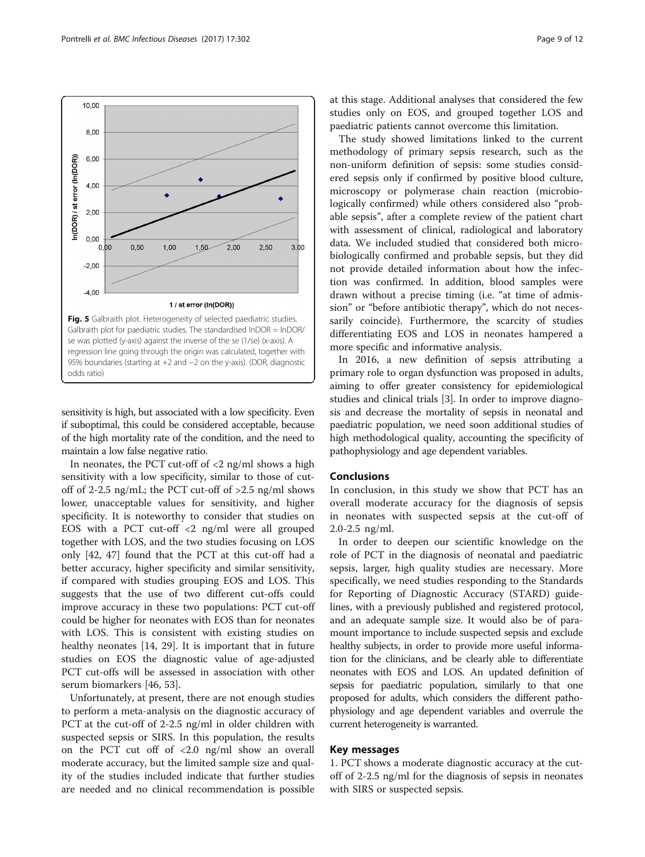<span id="page-8-0"></span>

sensitivity is high, but associated with a low specificity. Even if suboptimal, this could be considered acceptable, because of the high mortality rate of the condition, and the need to maintain a low false negative ratio.

In neonates, the PCT cut-off of <2 ng/ml shows a high sensitivity with a low specificity, similar to those of cutoff of 2-2.5 ng/mL; the PCT cut-off of >2.5 ng/ml shows lower, unacceptable values for sensitivity, and higher specificity. It is noteworthy to consider that studies on EOS with a PCT cut-off  $\langle 2 \rangle$  ng/ml were all grouped together with LOS, and the two studies focusing on LOS only [[42, 47\]](#page-10-0) found that the PCT at this cut-off had a better accuracy, higher specificity and similar sensitivity, if compared with studies grouping EOS and LOS. This suggests that the use of two different cut-offs could improve accuracy in these two populations: PCT cut-off could be higher for neonates with EOS than for neonates with LOS. This is consistent with existing studies on healthy neonates [\[14](#page-10-0), [29](#page-10-0)]. It is important that in future studies on EOS the diagnostic value of age-adjusted PCT cut-offs will be assessed in association with other serum biomarkers [[46,](#page-10-0) [53\]](#page-11-0).

Unfortunately, at present, there are not enough studies to perform a meta-analysis on the diagnostic accuracy of PCT at the cut-off of 2-2.5 ng/ml in older children with suspected sepsis or SIRS. In this population, the results on the PCT cut off of <2.0 ng/ml show an overall moderate accuracy, but the limited sample size and quality of the studies included indicate that further studies are needed and no clinical recommendation is possible at this stage. Additional analyses that considered the few studies only on EOS, and grouped together LOS and paediatric patients cannot overcome this limitation.

The study showed limitations linked to the current methodology of primary sepsis research, such as the non-uniform definition of sepsis: some studies considered sepsis only if confirmed by positive blood culture, microscopy or polymerase chain reaction (microbiologically confirmed) while others considered also "probable sepsis", after a complete review of the patient chart with assessment of clinical, radiological and laboratory data. We included studied that considered both microbiologically confirmed and probable sepsis, but they did not provide detailed information about how the infection was confirmed. In addition, blood samples were drawn without a precise timing (i.e. "at time of admission" or "before antibiotic therapy", which do not necessarily coincide). Furthermore, the scarcity of studies differentiating EOS and LOS in neonates hampered a more specific and informative analysis.

In 2016, a new definition of sepsis attributing a primary role to organ dysfunction was proposed in adults, aiming to offer greater consistency for epidemiological studies and clinical trials [[3\]](#page-9-0). In order to improve diagnosis and decrease the mortality of sepsis in neonatal and paediatric population, we need soon additional studies of high methodological quality, accounting the specificity of pathophysiology and age dependent variables.

#### Conclusions

In conclusion, in this study we show that PCT has an overall moderate accuracy for the diagnosis of sepsis in neonates with suspected sepsis at the cut-off of 2.0-2.5 ng/ml.

In order to deepen our scientific knowledge on the role of PCT in the diagnosis of neonatal and paediatric sepsis, larger, high quality studies are necessary. More specifically, we need studies responding to the Standards for Reporting of Diagnostic Accuracy (STARD) guidelines, with a previously published and registered protocol, and an adequate sample size. It would also be of paramount importance to include suspected sepsis and exclude healthy subjects, in order to provide more useful information for the clinicians, and be clearly able to differentiate neonates with EOS and LOS. An updated definition of sepsis for paediatric population, similarly to that one proposed for adults, which considers the different pathophysiology and age dependent variables and overrule the current heterogeneity is warranted.

#### Key messages

1. PCT shows a moderate diagnostic accuracy at the cutoff of 2-2.5 ng/ml for the diagnosis of sepsis in neonates with SIRS or suspected sepsis.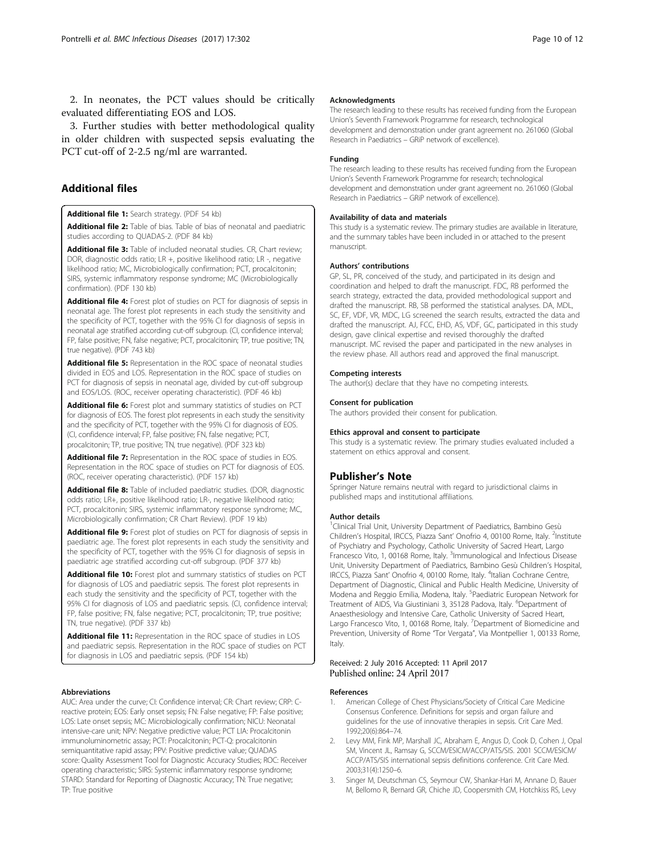<span id="page-9-0"></span>2. In neonates, the PCT values should be critically evaluated differentiating EOS and LOS.

3. Further studies with better methodological quality in older children with suspected sepsis evaluating the PCT cut-off of 2-2.5 ng/ml are warranted.

### Additional files

[Additional file 1:](dx.doi.org/10.1186/s12879-017-2396-7) Search strategy. (PDF 54 kb)

[Additional file 2:](dx.doi.org/10.1186/s12879-017-2396-7) Table of bias. Table of bias of neonatal and paediatric studies according to QUADAS-2. (PDF 84 kb)

[Additional file 3:](dx.doi.org/10.1186/s12879-017-2396-7) Table of included neonatal studies. CR, Chart review; DOR, diagnostic odds ratio; LR +, positive likelihood ratio; LR -, negative likelihood ratio; MC, Microbiologically confirmation; PCT, procalcitonin; SIRS, systemic inflammatory response syndrome; MC (Microbiologically confirmation). (PDF 130 kb)

[Additional file 4:](dx.doi.org/10.1186/s12879-017-2396-7) Forest plot of studies on PCT for diagnosis of sepsis in neonatal age. The forest plot represents in each study the sensitivity and the specificity of PCT, together with the 95% CI for diagnosis of sepsis in neonatal age stratified according cut-off subgroup. (CI, confidence interval; FP, false positive; FN, false negative; PCT, procalcitonin; TP, true positive; TN, true negative). (PDF 743 kb)

[Additional file 5:](dx.doi.org/10.1186/s12879-017-2396-7) Representation in the ROC space of neonatal studies divided in EOS and LOS. Representation in the ROC space of studies on PCT for diagnosis of sepsis in neonatal age, divided by cut-off subgroup and EOS/LOS. (ROC, receiver operating characteristic). (PDF 46 kb)

[Additional file 6:](dx.doi.org/10.1186/s12879-017-2396-7) Forest plot and summary statistics of studies on PCT for diagnosis of EOS. The forest plot represents in each study the sensitivity and the specificity of PCT, together with the 95% CI for diagnosis of EOS. (CI, confidence interval; FP, false positive; FN, false negative; PCT, procalcitonin; TP, true positive; TN, true negative). (PDF 323 kb)

[Additional file 7:](dx.doi.org/10.1186/s12879-017-2396-7) Representation in the ROC space of studies in EOS. Representation in the ROC space of studies on PCT for diagnosis of EOS. (ROC, receiver operating characteristic). (PDF 157 kb)

[Additional file 8:](dx.doi.org/10.1186/s12879-017-2396-7) Table of included paediatric studies. (DOR, diagnostic odds ratio; LR+, positive likelihood ratio; LR-, negative likelihood ratio; PCT, procalcitonin; SIRS, systemic inflammatory response syndrome; MC, Microbiologically confirmation; CR Chart Review). (PDF 19 kb)

[Additional file 9:](dx.doi.org/10.1186/s12879-017-2396-7) Forest plot of studies on PCT for diagnosis of sepsis in paediatric age. The forest plot represents in each study the sensitivity and the specificity of PCT, together with the 95% CI for diagnosis of sepsis in paediatric age stratified according cut-off subgroup. (PDF 377 kb)

[Additional file 10:](dx.doi.org/10.1186/s12879-017-2396-7) Forest plot and summary statistics of studies on PCT for diagnosis of LOS and paediatric sepsis. The forest plot represents in each study the sensitivity and the specificity of PCT, together with the 95% CI for diagnosis of LOS and paediatric sepsis. (CI, confidence interval; FP, false positive; FN, false negative; PCT, procalcitonin; TP, true positive; TN, true negative). (PDF 337 kb)

[Additional file 11:](dx.doi.org/10.1186/s12879-017-2396-7) Representation in the ROC space of studies in LOS and paediatric sepsis. Representation in the ROC space of studies on PCT for diagnosis in LOS and paediatric sepsis. (PDF 154 kb)

#### Abbreviations

AUC: Area under the curve; CI: Confidence interval; CR: Chart review; CRP: Creactive protein; EOS: Early onset sepsis; FN: False negative; FP: False positive; LOS: Late onset sepsis; MC: Microbiologically confirmation; NICU: Neonatal intensive-care unit; NPV: Negative predictive value; PCT LIA: Procalcitonin immunoluminometric assay; PCT: Procalcitonin; PCT-Q: procalcitonin semiquantitative rapid assay; PPV: Positive predictive value; QUADAS score: Quality Assessment Tool for Diagnostic Accuracy Studies; ROC: Receiver operating characteristic; SIRS: Systemic inflammatory response syndrome; STARD: Standard for Reporting of Diagnostic Accuracy; TN: True negative; TP: True positive

#### Acknowledgments

The research leading to these results has received funding from the European Union's Seventh Framework Programme for research, technological development and demonstration under grant agreement no. 261060 (Global Research in Paediatrics – GRiP network of excellence).

#### Funding

The research leading to these results has received funding from the European Union's Seventh Framework Programme for research; technological development and demonstration under grant agreement no. 261060 (Global Research in Paediatrics – GRiP network of excellence).

#### Availability of data and materials

This study is a systematic review. The primary studies are available in literature, and the summary tables have been included in or attached to the present manuscript.

#### Authors' contributions

GP, SL, PR, conceived of the study, and participated in its design and coordination and helped to draft the manuscript. FDC, RB performed the search strategy, extracted the data, provided methodological support and drafted the manuscript. RB, SB performed the statistical analyses. DA, MDL, SC, EF, VDF, VR, MDC, LG screened the search results, extracted the data and drafted the manuscript. AJ, FCC, EHD, AS, VDF, GC, participated in this study design, gave clinical expertise and revised thoroughly the drafted manuscript. MC revised the paper and participated in the new analyses in the review phase. All authors read and approved the final manuscript.

#### Competing interests

The author(s) declare that they have no competing interests.

#### Consent for publication

The authors provided their consent for publication.

#### Ethics approval and consent to participate

This study is a systematic review. The primary studies evaluated included a statement on ethics approval and consent.

#### Publisher's Note

Springer Nature remains neutral with regard to jurisdictional claims in published maps and institutional affiliations.

#### Author details

<sup>1</sup> Clinical Trial Unit, University Department of Paediatrics, Bambino Gesù Children's Hospital, IRCCS, Piazza Sant' Onofrio 4, 00100 Rome, Italy. <sup>2</sup>Institute of Psychiatry and Psychology, Catholic University of Sacred Heart, Largo Francesco Vito, 1, 00168 Rome, Italy. <sup>3</sup>Immunological and Infectious Disease Unit, University Department of Paediatrics, Bambino Gesù Children's Hospital, IRCCS, Piazza Sant' Onofrio 4, 00100 Rome, Italy. <sup>4</sup>Italian Cochrane Centre, Department of Diagnostic, Clinical and Public Health Medicine, University of Modena and Reggio Emilia, Modena, Italy. <sup>5</sup>Paediatric European Network for Treatment of AIDS, Via Giustiniani 3, 35128 Padova, Italy. <sup>6</sup>Department of Anaesthesiology and Intensive Care, Catholic University of Sacred Heart, Largo Francesco Vito, 1, 00168 Rome, Italy. <sup>7</sup>Department of Biomedicine and Prevention, University of Rome "Tor Vergata", Via Montpellier 1, 00133 Rome, Italy.

#### Received: 2 July 2016 Accepted: 11 April 2017 Published online: 24 April 2017

#### References

- 1. American College of Chest Physicians/Society of Critical Care Medicine Consensus Conference. Definitions for sepsis and organ failure and guidelines for the use of innovative therapies in sepsis. Crit Care Med. 1992;20(6):864–74.
- 2. Levy MM, Fink MP, Marshall JC, Abraham E, Angus D, Cook D, Cohen J, Opal SM, Vincent JL, Ramsay G, SCCM/ESICM/ACCP/ATS/SIS. 2001 SCCM/ESICM/ ACCP/ATS/SIS international sepsis definitions conference. Crit Care Med. 2003;31(4):1250–6.
- 3. Singer M, Deutschman CS, Seymour CW, Shankar-Hari M, Annane D, Bauer M, Bellomo R, Bernard GR, Chiche JD, Coopersmith CM, Hotchkiss RS, Levy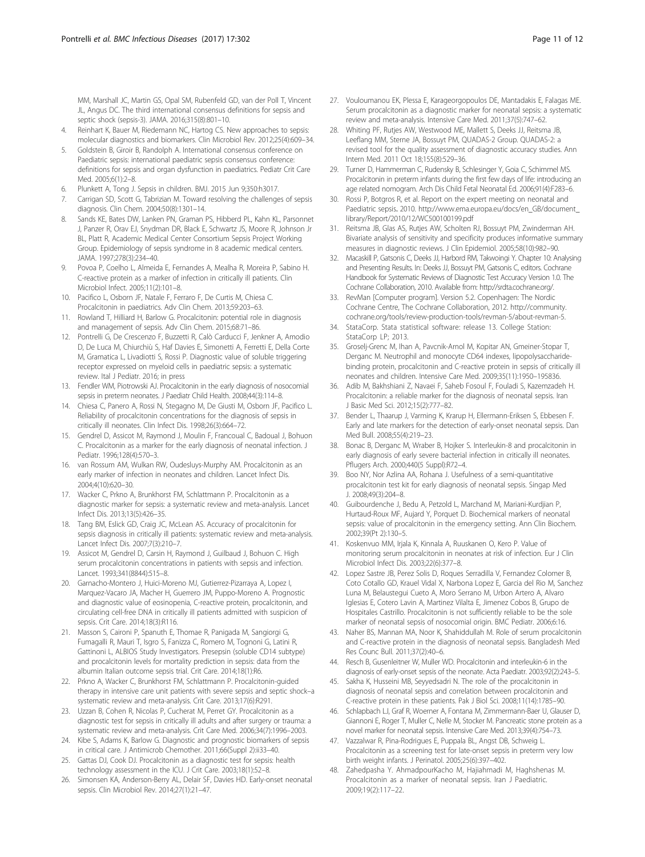<span id="page-10-0"></span>MM, Marshall JC, Martin GS, Opal SM, Rubenfeld GD, van der Poll T, Vincent JL, Angus DC. The third international consensus definitions for sepsis and septic shock (sepsis-3). JAMA. 2016;315(8):801–10.

- Reinhart K, Bauer M, Riedemann NC, Hartog CS. New approaches to sepsis: molecular diagnostics and biomarkers. Clin Microbiol Rev. 2012;25(4):609–34.
- 5. Goldstein B, Giroir B, Randolph A. International consensus conference on Paediatric sepsis: international paediatric sepsis consensus conference: definitions for sepsis and organ dysfunction in paediatrics. Pediatr Crit Care Med. 2005;6(1):2–8.
- 6. Plunkett A, Tong J. Sepsis in children. BMJ. 2015 Jun 9;350:h3017.
- Carrigan SD, Scott G, Tabrizian M. Toward resolving the challenges of sepsis diagnosis. Clin Chem. 2004;50(8):1301–14.
- 8. Sands KE, Bates DW, Lanken PN, Graman PS, Hibberd PL, Kahn KL, Parsonnet J, Panzer R, Orav EJ, Snydman DR, Black E, Schwartz JS, Moore R, Johnson Jr BL, Platt R, Academic Medical Center Consortium Sepsis Project Working Group. Epidemiology of sepsis syndrome in 8 academic medical centers. JAMA. 1997;278(3):234–40.
- 9. Povoa P, Coelho L, Almeida E, Fernandes A, Mealha R, Moreira P, Sabino H. C-reactive protein as a marker of infection in critically ill patients. Clin Microbiol Infect. 2005;11(2):101–8.
- 10. Pacifico L, Osborn JF, Natale F, Ferraro F, De Curtis M, Chiesa C. Procalcitonin in paediatrics. Adv Clin Chem. 2013;59:203–63.
- 11. Rowland T, Hilliard H, Barlow G. Procalcitonin: potential role in diagnosis and management of sepsis. Adv Clin Chem. 2015;68:71–86.
- 12. Pontrelli G, De Crescenzo F, Buzzetti R, Calò Carducci F, Jenkner A, Amodio D, De Luca M, Chiurchiù S, Haf Davies E, Simonetti A, Ferretti E, Della Corte M, Gramatica L, Livadiotti S, Rossi P. Diagnostic value of soluble triggering receptor expressed on myeloid cells in paediatric sepsis: a systematic review. Ital J Pediatr. 2016; in press
- 13. Fendler WM, Piotrowski AJ. Procalcitonin in the early diagnosis of nosocomial sepsis in preterm neonates. J Paediatr Child Health. 2008;44(3):114–8.
- 14. Chiesa C, Panero A, Rossi N, Stegagno M, De Giusti M, Osborn JF, Pacifico L. Reliability of procalcitonin concentrations for the diagnosis of sepsis in critically ill neonates. Clin Infect Dis. 1998;26(3):664–72.
- 15. Gendrel D, Assicot M, Raymond J, Moulin F, Francoual C, Badoual J, Bohuon C. Procalcitonin as a marker for the early diagnosis of neonatal infection. J Pediatr. 1996;128(4):570–3.
- 16. van Rossum AM, Wulkan RW, Oudesluys-Murphy AM. Procalcitonin as an early marker of infection in neonates and children. Lancet Infect Dis. 2004;4(10):620–30.
- 17. Wacker C, Prkno A, Brunkhorst FM, Schlattmann P. Procalcitonin as a diagnostic marker for sepsis: a systematic review and meta-analysis. Lancet Infect Dis. 2013;13(5):426–35.
- 18. Tang BM, Eslick GD, Craig JC, McLean AS. Accuracy of procalcitonin for sepsis diagnosis in critically ill patients: systematic review and meta-analysis. Lancet Infect Dis. 2007;7(3):210–7.
- 19. Assicot M, Gendrel D, Carsin H, Raymond J, Guilbaud J, Bohuon C. High serum procalcitonin concentrations in patients with sepsis and infection. Lancet. 1993;341(8844):515–8.
- 20. Garnacho-Montero J, Huici-Moreno MJ, Gutierrez-Pizarraya A, Lopez I, Marquez-Vacaro JA, Macher H, Guerrero JM, Puppo-Moreno A. Prognostic and diagnostic value of eosinopenia, C-reactive protein, procalcitonin, and circulating cell-free DNA in critically ill patients admitted with suspicion of sepsis. Crit Care. 2014;18(3):R116.
- 21. Masson S, Caironi P, Spanuth E, Thomae R, Panigada M, Sangiorgi G, Fumagalli R, Mauri T, Isgro S, Fanizza C, Romero M, Tognoni G, Latini R, Gattinoni L, ALBIOS Study Investigators. Presepsin (soluble CD14 subtype) and procalcitonin levels for mortality prediction in sepsis: data from the albumin Italian outcome sepsis trial. Crit Care. 2014;18(1):R6.
- 22. Prkno A, Wacker C, Brunkhorst FM, Schlattmann P. Procalcitonin-guided therapy in intensive care unit patients with severe sepsis and septic shock–a systematic review and meta-analysis. Crit Care. 2013;17(6):R291.
- 23. Uzzan B, Cohen R, Nicolas P, Cucherat M, Perret GY. Procalcitonin as a diagnostic test for sepsis in critically ill adults and after surgery or trauma: a systematic review and meta-analysis. Crit Care Med. 2006;34(7):1996–2003.
- 24. Kibe S, Adams K, Barlow G. Diagnostic and prognostic biomarkers of sepsis in critical care. J Antimicrob Chemother. 2011;66(Suppl 2):ii33–40.
- 25. Gattas DJ, Cook DJ. Procalcitonin as a diagnostic test for sepsis: health technology assessment in the ICU. J Crit Care. 2003;18(1):52–8.
- 26. Simonsen KA, Anderson-Berry AL, Delair SF, Davies HD. Early-onset neonatal sepsis. Clin Microbiol Rev. 2014;27(1):21–47.
- 27. Vouloumanou EK, Plessa E, Karageorgopoulos DE, Mantadakis E, Falagas ME. Serum procalcitonin as a diagnostic marker for neonatal sepsis: a systematic review and meta-analysis. Intensive Care Med. 2011;37(5):747–62.
- 28. Whiting PF, Rutjes AW, Westwood ME, Mallett S, Deeks JJ, Reitsma JB, Leeflang MM, Sterne JA, Bossuyt PM, QUADAS-2 Group. QUADAS-2: a revised tool for the quality assessment of diagnostic accuracy studies. Ann Intern Med. 2011 Oct 18;155(8):529–36.
- 29. Turner D, Hammerman C, Rudensky B, Schlesinger Y, Goia C, Schimmel MS. Procalcitonin in preterm infants during the first few days of life: introducing an age related nomogram. Arch Dis Child Fetal Neonatal Ed. 2006;91(4):F283–6.
- 30. Rossi P, Botgros R, et al. Report on the expert meeting on neonatal and Paediatric sepsis. 2010. [http://www.ema.europa.eu/docs/en\\_GB/document\\_](http://www.ema.europa.eu/docs/en_GB/document_library/Report/2010/12/WC500100199.pdf) [library/Report/2010/12/WC500100199.pdf](http://www.ema.europa.eu/docs/en_GB/document_library/Report/2010/12/WC500100199.pdf)
- 31. Reitsma JB, Glas AS, Rutjes AW, Scholten RJ, Bossuyt PM, Zwinderman AH. Bivariate analysis of sensitivity and specificity produces informative summary measures in diagnostic reviews. J Clin Epidemiol. 2005;58(10):982–90.
- 32. Macaskill P, Gatsonis C, Deeks JJ, Harbord RM, Takwoingi Y. Chapter 10: Analysing and Presenting Results. In: Deeks JJ, Bossuyt PM, Gatsonis C, editors. Cochrane Handbook for Systematic Reviews of Diagnostic Test Accuracy Version 1.0. The Cochrane Collaboration, 2010. Available from: [http://srdta.cochrane.org/.](http://srdta.cochrane.org/)
- 33. RevMan [Computer program]. Version 5.2. Copenhagen: The Nordic Cochrane Centre, The Cochrane Collaboration, 2012. [http://community.](http://community.cochrane.org/tools/review-production-tools/revman-5/about-revman-5) [cochrane.org/tools/review-production-tools/revman-5/about-revman-5](http://community.cochrane.org/tools/review-production-tools/revman-5/about-revman-5).
- 34. StataCorp. Stata statistical software: release 13. College Station: StataCorp LP: 2013.
- 35. Groselj-Grenc M, Ihan A, Pavcnik-Arnol M, Kopitar AN, Gmeiner-Stopar T, Derganc M. Neutrophil and monocyte CD64 indexes, lipopolysaccharidebinding protein, procalcitonin and C-reactive protein in sepsis of critically ill neonates and children. Intensive Care Med. 2009;35(11):1950–195836.
- 36. Adib M, Bakhshiani Z, Navaei F, Saheb Fosoul F, Fouladi S, Kazemzadeh H. Procalcitonin: a reliable marker for the diagnosis of neonatal sepsis. Iran J Basic Med Sci. 2012;15(2):777–82.
- 37. Bender L, Thaarup J, Varming K, Krarup H, Ellermann-Eriksen S, Ebbesen F. Early and late markers for the detection of early-onset neonatal sepsis. Dan Med Bull. 2008;55(4):219–23.
- 38. Bonac B, Derganc M, Wraber B, Hojker S. Interleukin-8 and procalcitonin in early diagnosis of early severe bacterial infection in critically ill neonates. Pflugers Arch. 2000;440(5 Suppl):R72–4.
- 39. Boo NY, Nor Azlina AA, Rohana J. Usefulness of a semi-quantitative procalcitonin test kit for early diagnosis of neonatal sepsis. Singap Med J. 2008;49(3):204–8.
- 40. Guibourdenche J, Bedu A, Petzold L, Marchand M, Mariani-Kurdjian P, Hurtaud-Roux MF, Aujard Y, Porquet D. Biochemical markers of neonatal sepsis: value of procalcitonin in the emergency setting. Ann Clin Biochem. 2002;39(Pt 2):130–5.
- 41. Koskenvuo MM, Irjala K, Kinnala A, Ruuskanen O, Kero P. Value of monitoring serum procalcitonin in neonates at risk of infection. Eur J Clin Microbiol Infect Dis. 2003;22(6):377–8.
- 42. Lopez Sastre JB, Perez Solis D, Roques Serradilla V, Fernandez Colomer B, Coto Cotallo GD, Krauel Vidal X, Narbona Lopez E, Garcia del Rio M, Sanchez Luna M, Belaustegui Cueto A, Moro Serrano M, Urbon Artero A, Alvaro Iglesias E, Cotero Lavin A, Martinez Vilalta E, Jimenez Cobos B, Grupo de Hospitales Castrillo. Procalcitonin is not sufficiently reliable to be the sole marker of neonatal sepsis of nosocomial origin. BMC Pediatr. 2006;6:16.
- 43. Naher BS, Mannan MA, Noor K, Shahiddullah M. Role of serum procalcitonin and C-reactive protein in the diagnosis of neonatal sepsis. Bangladesh Med Res Counc Bull. 2011;37(2):40–6.
- 44. Resch B, Gusenleitner W, Muller WD. Procalcitonin and interleukin-6 in the diagnosis of early-onset sepsis of the neonate. Acta Paediatr. 2003;92(2):243–5.
- 45. Sakha K, Husseini MB, Seyyedsadri N. The role of the procalcitonin in diagnosis of neonatal sepsis and correlation between procalcitonin and C-reactive protein in these patients. Pak J Biol Sci. 2008;11(14):1785–90.
- 46. Schlapbach LJ, Graf R, Woerner A, Fontana M, Zimmermann-Baer U, Glauser D, Giannoni E, Roger T, Muller C, Nelle M, Stocker M. Pancreatic stone protein as a novel marker for neonatal sepsis. Intensive Care Med. 2013;39(4):754–73.
- 47. Vazzalwar R, Pina-Rodrigues E, Puppala BL, Angst DB, Schweig L. Procalcitonin as a screening test for late-onset sepsis in preterm very low birth weight infants. J Perinatol. 2005;25(6):397–402.
- 48. Zahedpasha Y. AhmadpourKacho M, Hajiahmadi M, Haghshenas M. Procalcitonin as a marker of neonatal sepsis. Iran J Paediatric. 2009;19(2):117–22.